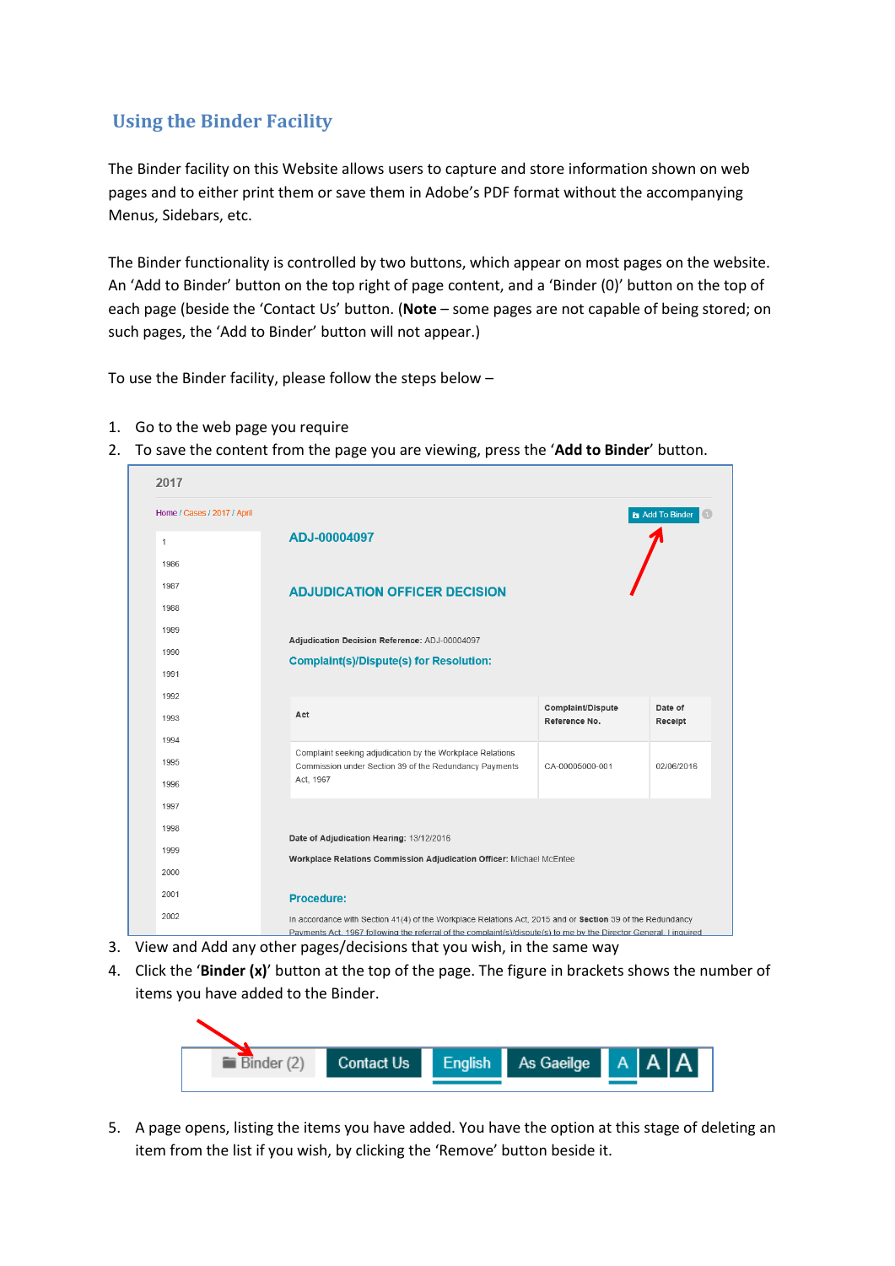## **Using the Binder Facility**

The Binder facility on this Website allows users to capture and store information shown on web pages and to either print them or save them in Adobe's PDF format without the accompanying Menus, Sidebars, etc.

The Binder functionality is controlled by two buttons, which appear on most pages on the website. An 'Add to Binder' button on the top right of page content, and a 'Binder (0)' button on the top of each page (beside the 'Contact Us' button. (**Note** – some pages are not capable of being stored; on such pages, the 'Add to Binder' button will not appear.)

To use the Binder facility, please follow the steps below –

- 1. Go to the web page you require
- 2. To save the content from the page you are viewing, press the '**Add to Binder**' button.

| 2017                        |                                                                                                                                                                                                                                 |                   |                 |
|-----------------------------|---------------------------------------------------------------------------------------------------------------------------------------------------------------------------------------------------------------------------------|-------------------|-----------------|
| Home / Cases / 2017 / April |                                                                                                                                                                                                                                 |                   | a Add To Binder |
| 1                           | ADJ-00004097                                                                                                                                                                                                                    |                   |                 |
| 1986                        |                                                                                                                                                                                                                                 |                   |                 |
| 1987                        | <b>ADJUDICATION OFFICER DECISION</b>                                                                                                                                                                                            |                   |                 |
| 1988                        |                                                                                                                                                                                                                                 |                   |                 |
| 1989                        | Adjudication Decision Reference: ADJ-00004097                                                                                                                                                                                   |                   |                 |
| 1990                        | <b>Complaint(s)/Dispute(s) for Resolution:</b>                                                                                                                                                                                  |                   |                 |
| 1991                        |                                                                                                                                                                                                                                 |                   |                 |
| 1992                        |                                                                                                                                                                                                                                 | Complaint/Dispute | Date of         |
| 1993                        | Act                                                                                                                                                                                                                             | Reference No.     | Receipt         |
| 1994                        | Complaint seeking adjudication by the Workplace Relations                                                                                                                                                                       |                   |                 |
| 1995                        | Commission under Section 39 of the Redundancy Payments                                                                                                                                                                          | CA-00005000-001   | 02/06/2016      |
| 1996                        | Act, 1967                                                                                                                                                                                                                       |                   |                 |
| 1997                        |                                                                                                                                                                                                                                 |                   |                 |
| 1998                        | Date of Adjudication Hearing: 13/12/2016                                                                                                                                                                                        |                   |                 |
| 1999                        | Workplace Relations Commission Adjudication Officer: Michael McEntee                                                                                                                                                            |                   |                 |
| 2000                        |                                                                                                                                                                                                                                 |                   |                 |
| 2001                        | <b>Procedure:</b>                                                                                                                                                                                                               |                   |                 |
| 2002                        | In accordance with Section 41(4) of the Workplace Relations Act, 2015 and or Section 39 of the Redundancy<br>Payments Act, 1967 following the referral of the complaint(s)/dispute(s) to me by the Director General, I inquired |                   |                 |

- 3. View and Add any other pages/decisions that you wish, in the same way
- 4. Click the '**Binder (x)**' button at the top of the page. The figure in brackets shows the number of items you have added to the Binder.



5. A page opens, listing the items you have added. You have the option at this stage of deleting an item from the list if you wish, by clicking the 'Remove' button beside it.